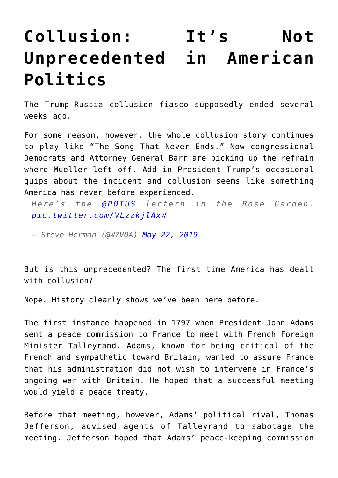## **[Collusion: It's Not](https://intellectualtakeout.org/2019/05/collusion-its-not-unprecedented-in-american-politics/) [Unprecedented in American](https://intellectualtakeout.org/2019/05/collusion-its-not-unprecedented-in-american-politics/) [Politics](https://intellectualtakeout.org/2019/05/collusion-its-not-unprecedented-in-american-politics/)**

The Trump-Russia collusion fiasco supposedly ended several weeks ago.

For some reason, however, the whole collusion story continues to play like "The Song That Never Ends." Now congressional Democrats and Attorney General Barr are picking up the refrain where Mueller left off. Add in President Trump's occasional quips about the incident and collusion seems like something America has never before experienced.

*Here's the [@POTUS](https://twitter.com/POTUS?ref_src=twsrc%5Etfw) lectern in the Rose Garden. [pic.twitter.com/VLzzkjlAxW](https://t.co/VLzzkjlAxW)*

*— Steve Herman (@W7VOA) [May 22, 2019](https://twitter.com/W7VOA/status/1131222343555133441?ref_src=twsrc%5Etfw)*

But is this unprecedented? The first time America has dealt with collusion?

Nope. History clearly shows we've been here before.

The first instance happened in 1797 when President John Adams sent a peace commission to France to meet with French Foreign Minister Talleyrand. Adams, known for being critical of the French and sympathetic toward Britain, wanted to assure France that his administration did not wish to intervene in France's ongoing war with Britain. He hoped that a successful meeting would yield a peace treaty.

Before that meeting, however, Adams' political rival, Thomas Jefferson, advised agents of Talleyrand to sabotage the meeting. Jefferson hoped that Adams' peace-keeping commission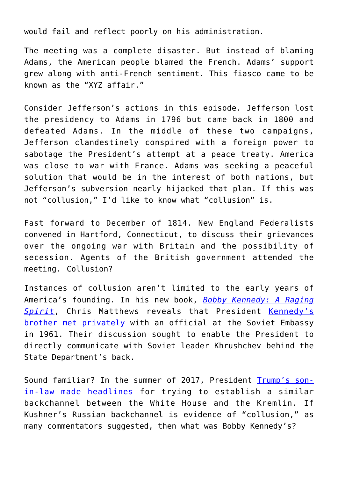would fail and reflect poorly on his administration.

The meeting was a complete disaster. But instead of blaming Adams, the American people blamed the French. Adams' support grew along with anti-French sentiment. This fiasco came to be known as the "XYZ affair."

Consider Jefferson's actions in this episode. Jefferson lost the presidency to Adams in 1796 but came back in 1800 and defeated Adams. In the middle of these two campaigns, Jefferson clandestinely conspired with a foreign power to sabotage the President's attempt at a peace treaty. America was close to war with France. Adams was seeking a peaceful solution that would be in the interest of both nations, but Jefferson's subversion nearly hijacked that plan. If this was not "collusion," I'd like to know what "collusion" is.

Fast forward to December of 1814. New England Federalists convened in Hartford, Connecticut, to discuss their grievances over the ongoing war with Britain and the possibility of secession. Agents of the British government attended the meeting. Collusion?

Instances of collusion aren't limited to the early years of America's founding. In his new book, *[Bobby Kennedy: A Raging](https://www.amazon.com/gp/product/1501111868/ref=as_li_qf_asin_il_tl?ie=UTF8&tag=intelltakeo0d-20&creative=9325&linkCode=as2&creativeASIN=1501111868&linkId=f29fc7702fae77b8f5952701aa1c1f29) [Spirit](https://www.amazon.com/gp/product/1501111868/ref=as_li_qf_asin_il_tl?ie=UTF8&tag=intelltakeo0d-20&creative=9325&linkCode=as2&creativeASIN=1501111868&linkId=f29fc7702fae77b8f5952701aa1c1f29)*, Chris Matthews reveals that President [Kennedy's](http://www.msnbc.com/hardball/robert-kennedys-back-channel-the-russians) [brother met privately](http://www.msnbc.com/hardball/robert-kennedys-back-channel-the-russians) with an official at the Soviet Embassy in 1961. Their discussion sought to enable the President to directly communicate with Soviet leader Khrushchev behind the State Department's back.

Sound familiar? In the summer of 2017, President [Trump's son](https://www.politico.com/magazine/story/2017/06/06/how-to-understand-kushners-back-channel-215232)[in-law made headlines](https://www.politico.com/magazine/story/2017/06/06/how-to-understand-kushners-back-channel-215232) for trying to establish a similar backchannel between the White House and the Kremlin. If Kushner's Russian backchannel is evidence of "collusion," as many commentators suggested, then what was Bobby Kennedy's?